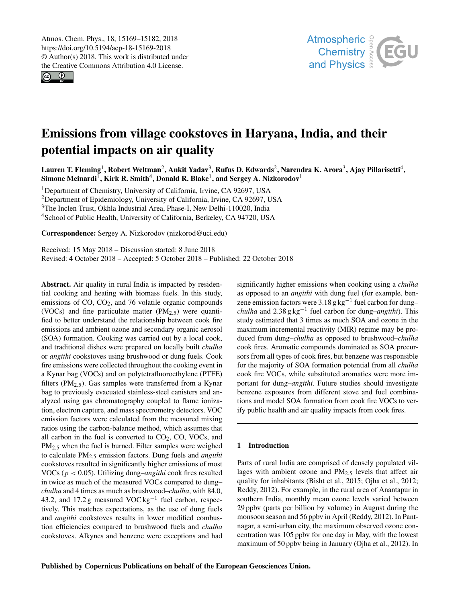<span id="page-0-1"></span> $\circledcirc$ 



# Emissions from village cookstoves in Haryana, India, and their potential impacts on air quality

Lauren T. Fleming $^1$  $^1$ , Robert Weltman $^2$  $^2$ , Ankit Yadav $^3$  $^3$ , Rufus D. Edwards $^2$ , Narendra K. Arora $^3$ , Ajay Pillarisetti $^4,$  $^4,$  $^4,$ Simone Meinardi $^{\rm l}$ , Kirk R. Smith $^{\rm 4}$  $^{\rm 4}$  $^{\rm 4}$ , Donald R. Blake $^{\rm l}$ , and Sergey A. Nizkorodov $^{\rm l}$ 

<sup>1</sup>Department of Chemistry, University of California, Irvine, CA 92697, USA

<sup>2</sup>Department of Epidemiology, University of California, Irvine, CA 92697, USA

<sup>3</sup>The Inclen Trust, Okhla Industrial Area, Phase-I, New Delhi-110020, India

<sup>4</sup>School of Public Health, University of California, Berkeley, CA 94720, USA

Correspondence: Sergey A. Nizkorodov (nizkorod@uci.edu)

Received: 15 May 2018 – Discussion started: 8 June 2018 Revised: 4 October 2018 – Accepted: 5 October 2018 – Published: 22 October 2018

<span id="page-0-0"></span>Abstract. Air quality in rural India is impacted by residential cooking and heating with biomass fuels. In this study, emissions of  $CO$ ,  $CO<sub>2</sub>$ , and 76 volatile organic compounds (VOCs) and fine particulate matter  $(PM<sub>2.5</sub>)$  were quantified to better understand the relationship between cook fire emissions and ambient ozone and secondary organic aerosol (SOA) formation. Cooking was carried out by a local cook, and traditional dishes were prepared on locally built *chulha* or *angithi* cookstoves using brushwood or dung fuels. Cook fire emissions were collected throughout the cooking event in a Kynar bag (VOCs) and on polytetrafluoroethylene (PTFE) filters ( $PM_{2.5}$ ). Gas samples were transferred from a Kynar bag to previously evacuated stainless-steel canisters and analyzed using gas chromatography coupled to flame ionization, electron capture, and mass spectrometry detectors. VOC emission factors were calculated from the measured mixing ratios using the carbon-balance method, which assumes that all carbon in the fuel is converted to  $CO<sub>2</sub>$ , CO, VOCs, and PM2.<sup>5</sup> when the fuel is burned. Filter samples were weighed to calculate PM2.<sup>5</sup> emission factors. Dung fuels and *angithi* cookstoves resulted in significantly higher emissions of most VOCs (p < 0.05). Utilizing dung–*angithi* cook fires resulted in twice as much of the measured VOCs compared to dung– *chulha* and 4 times as much as brushwood–*chulha*, with 84.0, 43.2, and 17.2 g measured VOC  $kg^{-1}$  fuel carbon, respectively. This matches expectations, as the use of dung fuels and *angithi* cookstoves results in lower modified combustion efficiencies compared to brushwood fuels and *chulha* cookstoves. Alkynes and benzene were exceptions and had significantly higher emissions when cooking using a *chulha* as opposed to an *angithi* with dung fuel (for example, benzene emission factors were 3.18 g kg−<sup>1</sup> fuel carbon for dung– *chulha* and 2.38 g kg−<sup>1</sup> fuel carbon for dung–*angithi*). This study estimated that 3 times as much SOA and ozone in the maximum incremental reactivity (MIR) regime may be produced from dung–*chulha* as opposed to brushwood–*chulha* cook fires. Aromatic compounds dominated as SOA precursors from all types of cook fires, but benzene was responsible for the majority of SOA formation potential from all *chulha* cook fire VOCs, while substituted aromatics were more important for dung–*angithi*. Future studies should investigate benzene exposures from different stove and fuel combinations and model SOA formation from cook fire VOCs to verify public health and air quality impacts from cook fires.

# 1 Introduction

Parts of rural India are comprised of densely populated villages with ambient ozone and  $PM_{2.5}$  levels that affect air quality for inhabitants (Bisht et al., 2015; Ojha et al., 2012; Reddy, 2012). For example, in the rural area of Anantapur in southern India, monthly mean ozone levels varied between 29 ppbv (parts per billion by volume) in August during the monsoon season and 56 ppbv in April (Reddy, 2012). In Pantnagar, a semi-urban city, the maximum observed ozone concentration was 105 ppbv for one day in May, with the lowest maximum of 50 ppbv being in January (Ojha et al., 2012). In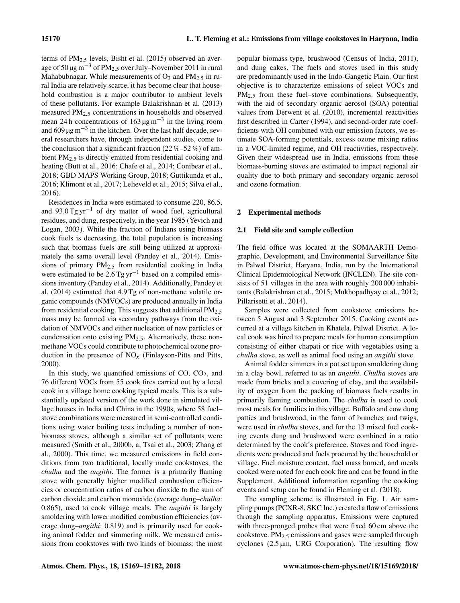terms of PM<sub>2.5</sub> levels, Bisht et al. (2015) observed an average of 50  $\mu$ g m<sup>-3</sup> of PM<sub>2.5</sub> over July–November 2011 in rural Mahabubnagar. While measurements of  $O_3$  and  $PM_{2.5}$  in rural India are relatively scarce, it has become clear that household combustion is a major contributor to ambient levels of these pollutants. For example Balakrishnan et al. (2013) measured PM2.<sup>5</sup> concentrations in households and observed mean 24 h concentrations of  $163 \,\mathrm{\mu g\,m}^{-3}$  in the living room and 609  $\mu$ g m<sup>-3</sup> in the kitchen. Over the last half decade, several researchers have, through independent studies, come to the conclusion that a significant fraction  $(22\% - 52\%)$  of ambient  $PM<sub>2.5</sub>$  is directly emitted from residential cooking and heating (Butt et al., 2016; Chafe et al., 2014; Conibear et al., 2018; GBD MAPS Working Group, 2018; Guttikunda et al., 2016; Klimont et al., 2017; Lelieveld et al., 2015; Silva et al., 2016).

Residences in India were estimated to consume 220, 86.5, and 93.0 Tg yr<sup>-1</sup> of dry matter of wood fuel, agricultural residues, and dung, respectively, in the year 1985 (Yevich and Logan, 2003). While the fraction of Indians using biomass cook fuels is decreasing, the total population is increasing such that biomass fuels are still being utilized at approximately the same overall level (Pandey et al., 2014). Emissions of primary  $PM_{2.5}$  from residential cooking in India were estimated to be  $2.6$  Tg yr<sup>-1</sup> based on a compiled emissions inventory (Pandey et al., 2014). Additionally, Pandey et al. (2014) estimated that 4.9 Tg of non-methane volatile organic compounds (NMVOCs) are produced annually in India from residential cooking. This suggests that additional  $PM_{2,5}$ mass may be formed via secondary pathways from the oxidation of NMVOCs and either nucleation of new particles or condensation onto existing  $PM_{2.5}$ . Alternatively, these nonmethane VOCs could contribute to photochemical ozone production in the presence of  $NO<sub>x</sub>$  (Finlayson-Pitts and Pitts, 2000).

In this study, we quantified emissions of  $CO$ ,  $CO<sub>2</sub>$ , and 76 different VOCs from 55 cook fires carried out by a local cook in a village home cooking typical meals. This is a substantially updated version of the work done in simulated village houses in India and China in the 1990s, where 58 fuel– stove combinations were measured in semi-controlled conditions using water boiling tests including a number of nonbiomass stoves, although a similar set of pollutants were measured (Smith et al., 2000b, a; Tsai et al., 2003; Zhang et al., 2000). This time, we measured emissions in field conditions from two traditional, locally made cookstoves, the *chulha* and the *angithi*. The former is a primarily flaming stove with generally higher modified combustion efficiencies or concentration ratios of carbon dioxide to the sum of carbon dioxide and carbon monoxide (average dung–*chulha*: 0.865), used to cook village meals. The *angithi* is largely smoldering with lower modified combustion efficiencies (average dung–*angithi*: 0.819) and is primarily used for cooking animal fodder and simmering milk. We measured emissions from cookstoves with two kinds of biomass: the most popular biomass type, brushwood (Census of India, 2011), and dung cakes. The fuels and stoves used in this study are predominantly used in the Indo-Gangetic Plain. Our first objective is to characterize emissions of select VOCs and PM<sub>2.5</sub> from these fuel–stove combinations. Subsequently, with the aid of secondary organic aerosol (SOA) potential values from Derwent et al. (2010), incremental reactivities first described in Carter (1994), and second-order rate coefficients with OH combined with our emission factors, we estimate SOA-forming potentials, excess ozone mixing ratios in a VOC-limited regime, and OH reactivities, respectively. Given their widespread use in India, emissions from these biomass-burning stoves are estimated to impact regional air quality due to both primary and secondary organic aerosol and ozone formation.

# 2 Experimental methods

# 2.1 Field site and sample collection

The field office was located at the SOMAARTH Demographic, Development, and Environmental Surveillance Site in Palwal District, Haryana, India, run by the International Clinical Epidemiological Network (INCLEN). The site consists of 51 villages in the area with roughly 200 000 inhabitants (Balakrishnan et al., 2015; Mukhopadhyay et al., 2012; Pillarisetti et al., 2014).

Samples were collected from cookstove emissions between 5 August and 3 September 2015. Cooking events occurred at a village kitchen in Khatela, Palwal District. A local cook was hired to prepare meals for human consumption consisting of either chapati or rice with vegetables using a *chulha* stove, as well as animal food using an *angithi* stove.

Animal fodder simmers in a pot set upon smoldering dung in a clay bowl, referred to as an *angithi*. *Chulha* stoves are made from bricks and a covering of clay, and the availability of oxygen from the packing of biomass fuels results in primarily flaming combustion. The *chulha* is used to cook most meals for families in this village. Buffalo and cow dung patties and brushwood, in the form of branches and twigs, were used in *chulha* stoves, and for the 13 mixed fuel cooking events dung and brushwood were combined in a ratio determined by the cook's preference. Stoves and food ingredients were produced and fuels procured by the household or village. Fuel moisture content, fuel mass burned, and meals cooked were noted for each cook fire and can be found in the Supplement. Additional information regarding the cooking events and setup can be found in Fleming et al. (2018).

The sampling scheme is illustrated in Fig. 1. Air sampling pumps (PCXR-8, SKC Inc.) created a flow of emissions through the sampling apparatus. Emissions were captured with three-pronged probes that were fixed 60 cm above the cookstove. PM2.<sup>5</sup> emissions and gases were sampled through cyclones  $(2.5 \,\mu\text{m}, \text{URG}$  Corporation). The resulting flow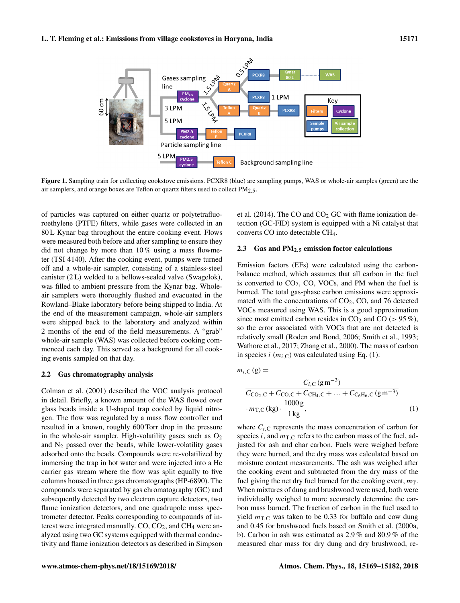cyclon Particle sampling line



PCXR8

Figure 1. Sampling train for collecting cookstove emissions. PCXR8 (blue) are sampling pumps, WAS or whole-air samples (green) are the air samplers, and orange boxes are Teflon or quartz filters used to collect  $PM_{2.5}$ .

of particles was captured on either quartz or polytetrafluoroethylene (PTFE) filters, while gases were collected in an 80 L Kynar bag throughout the entire cooking event. Flows were measured both before and after sampling to ensure they did not change by more than  $10\%$  using a mass flowmeter (TSI 4140). After the cooking event, pumps were turned off and a whole-air sampler, consisting of a stainless-steel canister (2 L) welded to a bellows-sealed valve (Swagelok), was filled to ambient pressure from the Kynar bag. Wholeair samplers were thoroughly flushed and evacuated in the Rowland–Blake laboratory before being shipped to India. At the end of the measurement campaign, whole-air samplers were shipped back to the laboratory and analyzed within 2 months of the end of the field measurements. A "grab" whole-air sample (WAS) was collected before cooking commenced each day. This served as a background for all cooking events sampled on that day.

# 2.2 Gas chromatography analysis

Colman et al. (2001) described the VOC analysis protocol in detail. Briefly, a known amount of the WAS flowed over glass beads inside a U-shaped trap cooled by liquid nitrogen. The flow was regulated by a mass flow controller and resulted in a known, roughly 600 Torr drop in the pressure in the whole-air sampler. High-volatility gases such as  $O_2$ and  $N_2$  passed over the beads, while lower-volatility gases adsorbed onto the beads. Compounds were re-volatilized by immersing the trap in hot water and were injected into a He carrier gas stream where the flow was split equally to five columns housed in three gas chromatographs (HP-6890). The compounds were separated by gas chromatography (GC) and subsequently detected by two electron capture detectors, two flame ionization detectors, and one quadrupole mass spectrometer detector. Peaks corresponding to compounds of interest were integrated manually.  $CO$ ,  $CO<sub>2</sub>$ , and  $CH<sub>4</sub>$  were analyzed using two GC systems equipped with thermal conductivity and flame ionization detectors as described in Simpson et al. (2014). The CO and  $CO<sub>2</sub>$  GC with flame ionization detection (GC-FID) system is equipped with a Ni catalyst that converts CO into detectable CH4.

# 2.3 Gas and  $PM<sub>2.5</sub>$  emission factor calculations

Emission factors (EFs) were calculated using the carbonbalance method, which assumes that all carbon in the fuel is converted to  $CO<sub>2</sub>$ ,  $CO<sub>2</sub>$ , VOCs, and PM when the fuel is burned. The total gas-phase carbon emissions were approximated with the concentrations of  $CO<sub>2</sub>$ , CO, and 76 detected VOCs measured using WAS. This is a good approximation since most emitted carbon resides in  $CO<sub>2</sub>$  and  $CO$  ( $> 95\%$ ), so the error associated with VOCs that are not detected is relatively small (Roden and Bond, 2006; Smith et al., 1993; Wathore et al., 2017; Zhang et al., 2000). The mass of carbon in species i  $(m_{i,C})$  was calculated using Eq. (1):

$$
m_{i,\mathrm{C}}\left(\mathrm{g}\right) =
$$

$$
\frac{C_{i,C} (g m^{-3})}{C_{\text{CO}_2,C} + C_{\text{CO},C} + C_{\text{CH}_4,C} + \dots + C_{\text{C}_6\text{H}_6,C} (g m^{-3})}
$$
\n
$$
\cdot m_{\text{T},C} (\text{kg}) \cdot \frac{1000 \,\text{g}}{1 \,\text{kg}},\tag{1}
$$

where  $C_{i,C}$  represents the mass concentration of carbon for species i, and  $m_{\text{T,C}}$  refers to the carbon mass of the fuel, adjusted for ash and char carbon. Fuels were weighed before they were burned, and the dry mass was calculated based on moisture content measurements. The ash was weighed after the cooking event and subtracted from the dry mass of the fuel giving the net dry fuel burned for the cooking event,  $m<sub>T</sub>$ . When mixtures of dung and brushwood were used, both were individually weighed to more accurately determine the carbon mass burned. The fraction of carbon in the fuel used to yield  $m_{\text{T,C}}$  was taken to be 0.33 for buffalo and cow dung and 0.45 for brushwood fuels based on Smith et al. (2000a, b). Carbon in ash was estimated as 2.9 % and 80.9 % of the measured char mass for dry dung and dry brushwood, re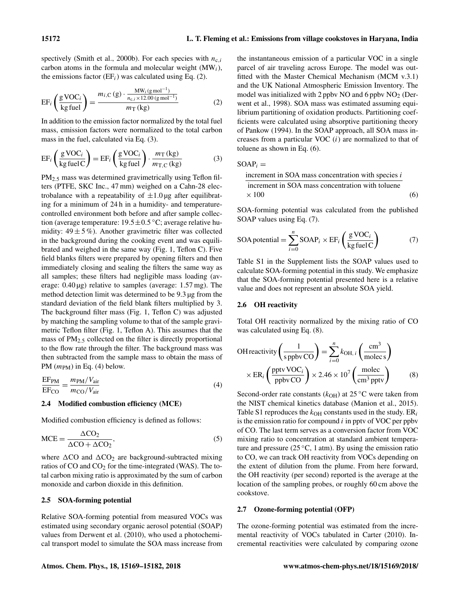spectively (Smith et al., 2000b). For each species with  $n_{c,i}$ carbon atoms in the formula and molecular weight  $(MW_i)$ , the emissions factor  $(EF_i)$  was calculated using Eq. (2).

$$
EF_{i}\left(\frac{g\,VOC_{i}}{kg\,fuel}\right) = \frac{m_{i,C}(g) \cdot \frac{MW_{i}(g\,mol^{-1})}{n_{c,i} \times 12.00\,(g\,mol^{-1})}}{m_{T}\,(kg)}\tag{2}
$$

In addition to the emission factor normalized by the total fuel mass, emission factors were normalized to the total carbon mass in the fuel, calculated via Eq. (3).

$$
EF_i\left(\frac{g\,VOC_i}{kg\,fuel\,C}\right) = EF_i\left(\frac{g\,VOC_i}{kg\,fuel}\right) \cdot \frac{m_{\rm T}\,(kg)}{m_{\rm T,C}\,(kg)}\tag{3}
$$

PM2.<sup>5</sup> mass was determined gravimetrically using Teflon filters (PTFE, SKC Inc., 47 mm) weighed on a Cahn-28 electrobalance with a repeatability of  $\pm 1.0 \,\mu$ g after equilibrating for a minimum of 24 h in a humidity- and temperaturecontrolled environment both before and after sample collection (average temperature:  $19.5 \pm 0.5$  °C; average relative humidity:  $49 \pm 5\%$ ). Another gravimetric filter was collected in the background during the cooking event and was equilibrated and weighed in the same way (Fig. 1, Teflon C). Five field blanks filters were prepared by opening filters and then immediately closing and sealing the filters the same way as all samples; these filters had negligible mass loading (average: 0.40 µg) relative to samples (average: 1.57 mg). The method detection limit was determined to be 9.3 µg from the standard deviation of the field blank filters multiplied by 3. The background filter mass (Fig. 1, Teflon C) was adjusted by matching the sampling volume to that of the sample gravimetric Teflon filter (Fig. 1, Teflon A). This assumes that the mass of PM<sub>2.5</sub> collected on the filter is directly proportional to the flow rate through the filter. The background mass was then subtracted from the sample mass to obtain the mass of PM  $(m<sub>PM</sub>)$  in Eq. (4) below.

$$
\frac{\text{EF}_{\text{PM}}}{\text{EF}_{\text{CO}}} = \frac{m_{\text{PM}} / V_{\text{air}}}{m_{\text{CO}} / V_{\text{air}}} \tag{4}
$$

## 2.4 Modified combustion efficiency (MCE)

Modified combustion efficiency is defined as follows:

$$
MCE = \frac{\Delta CO_2}{\Delta CO + \Delta CO_2},
$$
\n(5)

where  $\Delta CO$  and  $\Delta CO_2$  are background-subtracted mixing ratios of CO and CO<sub>2</sub> for the time-integrated (WAS). The total carbon mixing ratio is approximated by the sum of carbon monoxide and carbon dioxide in this definition.

# 2.5 SOA-forming potential

Relative SOA-forming potential from measured VOCs was estimated using secondary organic aerosol potential (SOAP) values from Derwent et al. (2010), who used a photochemical transport model to simulate the SOA mass increase from the instantaneous emission of a particular VOC in a single parcel of air traveling across Europe. The model was outfitted with the Master Chemical Mechanism (MCM v.3.1) and the UK National Atmospheric Emission Inventory. The model was initialized with 2 ppbv NO and 6 ppbv  $NO<sub>2</sub>$  (Derwent et al., 1998). SOA mass was estimated assuming equilibrium partitioning of oxidation products. Partitioning coefficients were calculated using absorptive partitioning theory of Pankow (1994). In the SOAP approach, all SOA mass increases from a particular VOC  $(i)$  are normalized to that of toluene as shown in Eq. (6).

$$
SOAP_i =
$$

increment in SOA mass concentration with species  $i$ increment in SOA mass concentration with toluene  $\times$  100 (6)

SOA-forming potential was calculated from the published SOAP values using Eq. (7).

$$
\text{SOA potential} = \sum_{i=0}^{n} \text{SOAP}_i \times \text{EF}_i \left( \frac{\text{g VOC}_i}{\text{kg fuel C}} \right) \tag{7}
$$

Table S1 in the Supplement lists the SOAP values used to calculate SOA-forming potential in this study. We emphasize that the SOA-forming potential presented here is a relative value and does not represent an absolute SOA yield.

#### 2.6 OH reactivity

Total OH reactivity normalized by the mixing ratio of CO was calculated using Eq. (8).

OH reactivity 
$$
\left(\frac{1}{\text{s} \text{ppbvCO}}\right) = \sum_{i=0}^{n} k_{\text{OH, }i} \left(\frac{\text{cm}^3}{\text{molec s}}\right)
$$
  
× ER<sub>i</sub>  $\left(\frac{\text{pptv VOC}_i}{\text{ppbv CO}}\right)$  × 2.46 × 10<sup>7</sup>  $\left(\frac{\text{molec}}{\text{cm}^3 \text{pptv}}\right)$  (8)

Second-order rate constants ( $k_{OH}$ ) at 25 °C were taken from the NIST chemical kinetics database (Manion et al., 2015). Table S1 reproduces the  $k_{OH}$  constants used in the study.  $ER_i$ is the emission ratio for compound  $i$  in pptv of VOC per ppbv of CO. The last term serves as a conversion factor from VOC mixing ratio to concentration at standard ambient temperature and pressure ( $25^{\circ}$ C, 1 atm). By using the emission ratio to CO, we can track OH reactivity from VOCs depending on the extent of dilution from the plume. From here forward, the OH reactivity (per second) reported is the average at the location of the sampling probes, or roughly 60 cm above the cookstove.

#### 2.7 Ozone-forming potential (OFP)

The ozone-forming potential was estimated from the incremental reactivity of VOCs tabulated in Carter (2010). Incremental reactivities were calculated by comparing ozone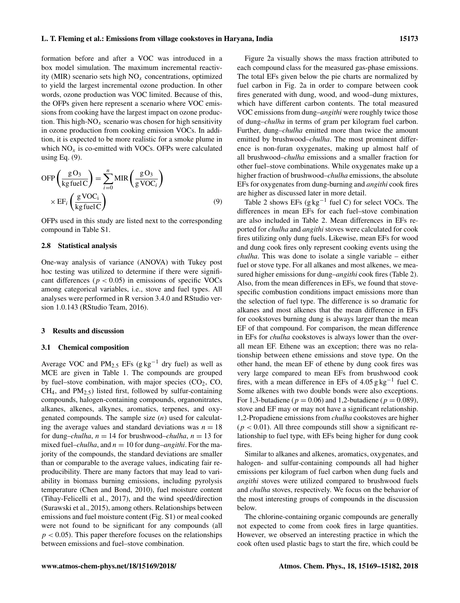#### L. T. Fleming et al.: Emissions from village cookstoves in Haryana, India 15173

formation before and after a VOC was introduced in a box model simulation. The maximum incremental reactivity (MIR) scenario sets high  $NO<sub>x</sub>$  concentrations, optimized to yield the largest incremental ozone production. In other words, ozone production was VOC limited. Because of this, the OFPs given here represent a scenario where VOC emissions from cooking have the largest impact on ozone production. This high- $NO<sub>x</sub>$  scenario was chosen for high sensitivity in ozone production from cooking emission VOCs. In addition, it is expected to be more realistic for a smoke plume in which  $NO<sub>x</sub>$  is co-emitted with VOCs. OFPs were calculated using Eq.  $(9)$ .

$$
OFP\left(\frac{gO_3}{kg\text{ fuel }C}\right) = \sum_{i=0}^{n} MIR\left(\frac{gO_3}{g\text{ VOC}_i}\right)
$$

$$
\times EF_i\left(\frac{g\text{ VOC}_i}{kg\text{ fuel }C}\right)
$$
(9)

OFPs used in this study are listed next to the corresponding compound in Table S1.

#### 2.8 Statistical analysis

One-way analysis of variance (ANOVA) with Tukey post hoc testing was utilized to determine if there were significant differences ( $p < 0.05$ ) in emissions of specific VOCs among categorical variables, i.e., stove and fuel types. All analyses were performed in R version 3.4.0 and RStudio version 1.0.143 (RStudio Team, 2016).

## 3 Results and discussion

## 3.1 Chemical composition

Average VOC and  $PM_{2.5}$  EFs (g kg<sup>-1</sup> dry fuel) as well as MCE are given in Table 1. The compounds are grouped by fuel–stove combination, with major species  $(CO<sub>2</sub>, CO,$  $CH<sub>4</sub>$ , and  $PM<sub>2.5</sub>$ ) listed first, followed by sulfur-containing compounds, halogen-containing compounds, organonitrates, alkanes, alkenes, alkynes, aromatics, terpenes, and oxygenated compounds. The sample size  $(n)$  used for calculating the average values and standard deviations was  $n = 18$ for dung–*chulha*,  $n = 14$  for brushwood–*chulha*,  $n = 13$  for mixed fuel–*chulha*, and  $n = 10$  for dung–*angithi*. For the majority of the compounds, the standard deviations are smaller than or comparable to the average values, indicating fair reproducibility. There are many factors that may lead to variability in biomass burning emissions, including pyrolysis temperature (Chen and Bond, 2010), fuel moisture content (Tihay-Felicelli et al., 2017), and the wind speed/direction (Surawski et al., 2015), among others. Relationships between emissions and fuel moisture content (Fig. S1) or meal cooked were not found to be significant for any compounds (all  $p < 0.05$ ). This paper therefore focuses on the relationships between emissions and fuel–stove combination.

Figure 2a visually shows the mass fraction attributed to each compound class for the measured gas-phase emissions. The total EFs given below the pie charts are normalized by fuel carbon in Fig. 2a in order to compare between cook fires generated with dung, wood, and wood–dung mixtures, which have different carbon contents. The total measured VOC emissions from dung–*angithi* were roughly twice those of dung–*chulha* in terms of gram per kilogram fuel carbon. Further, dung–*chulha* emitted more than twice the amount emitted by brushwood–*chulha*. The most prominent difference is non-furan oxygenates, making up almost half of all brushwood–*chulha* emissions and a smaller fraction for other fuel–stove combinations. While oxygenates make up a higher fraction of brushwood–*chulha* emissions, the absolute EFs for oxygenates from dung-burning and *angithi* cook fires are higher as discussed later in more detail.

Table 2 shows  $EFs (g kg<sup>-1</sup> fuel C) for select VOCs. The$ differences in mean EFs for each fuel–stove combination are also included in Table 2. Mean differences in EFs reported for *chulha* and *angithi* stoves were calculated for cook fires utilizing only dung fuels. Likewise, mean EFs for wood and dung cook fires only represent cooking events using the *chulha*. This was done to isolate a single variable – either fuel or stove type. For all alkanes and most alkenes, we measured higher emissions for dung–*angithi* cook fires (Table 2). Also, from the mean differences in EFs, we found that stovespecific combustion conditions impact emissions more than the selection of fuel type. The difference is so dramatic for alkanes and most alkenes that the mean difference in EFs for cookstoves burning dung is always larger than the mean EF of that compound. For comparison, the mean difference in EFs for *chulha* cookstoves is always lower than the overall mean EF. Ethene was an exception; there was no relationship between ethene emissions and stove type. On the other hand, the mean EF of ethene by dung cook fires was very large compared to mean EFs from brushwood cook fires, with a mean difference in EFs of 4.05 g kg−<sup>1</sup> fuel C. Some alkenes with two double bonds were also exceptions. For 1,3-butadiene ( $p = 0.06$ ) and 1,2-butadiene ( $p = 0.089$ ), stove and EF may or may not have a significant relationship. 1,2-Propadiene emissions from *chulha* cookstoves are higher  $(p < 0.01)$ . All three compounds still show a significant relationship to fuel type, with EFs being higher for dung cook fires.

Similar to alkanes and alkenes, aromatics, oxygenates, and halogen- and sulfur-containing compounds all had higher emissions per kilogram of fuel carbon when dung fuels and *angithi* stoves were utilized compared to brushwood fuels and *chulha* stoves, respectively. We focus on the behavior of the most interesting groups of compounds in the discussion below.

The chlorine-containing organic compounds are generally not expected to come from cook fires in large quantities. However, we observed an interesting practice in which the cook often used plastic bags to start the fire, which could be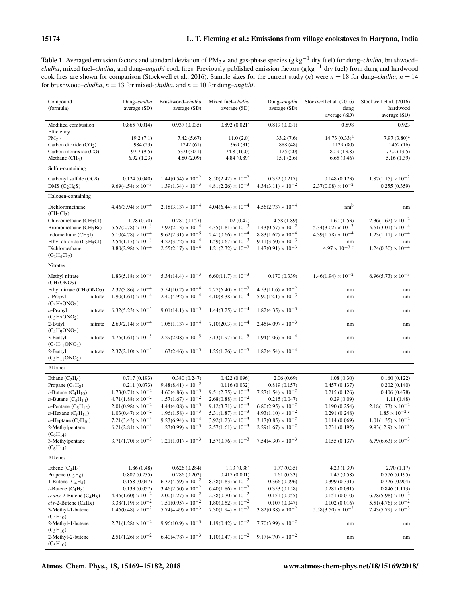Table 1. Averaged emission factors and standard deviation of PM<sub>2.5</sub> and gas-phase species (g kg<sup>-1</sup> dry fuel) for dung–*chulha*, brushwood– *chulha*, mixed fuel–*chulha*, and dung–*angithi* cook fires. Previously published emission factors (g kg−<sup>1</sup> dry fuel) from dung and hardwood cook fires are shown for comparison (Stockwell et al., 2016). Sample sizes for the current study (n) were  $n = 18$  for dung–*chulha*,  $n = 14$ for brushwood–*chulha*,  $n = 13$  for mixed-*chulha*, and  $n = 10$  for dung–*angithi*.

| Compound<br>(formula)                            | Dung-chulha<br>average (SD) | Brushwood-chulha<br>average (SD) | Mixed fuel-chulha<br>average (SD) | Dung-angithi<br>average (SD) | Stockwell et al. (2016)<br>dung<br>average (SD) | Stockwell et al. (2016)<br>hardwood<br>average $(SD)$ |
|--------------------------------------------------|-----------------------------|----------------------------------|-----------------------------------|------------------------------|-------------------------------------------------|-------------------------------------------------------|
| Modified combustion<br>Efficiency                | 0.865(0.014)                | 0.937(0.035)                     | 0.892(0.021)                      | 0.819(0.031)                 | 0.898                                           | 0.923                                                 |
| PM <sub>2.5</sub>                                | 19.2(7.1)                   | 7.42(5.67)                       | 11.0(2.0)                         | 33.2 (7.6)                   | $14.73(0.33)^{a}$                               | $7.97(3.80)^{a}$                                      |
| Carbon dioxide $(CO2)$                           | 984 (23)                    | 1242(61)                         | 969 (31)                          | 888 (48)                     | 1129 (80)                                       | 1462(16)                                              |
| Carbon monoxide (CO)                             | 97.7(9.5)                   | 53.0(30.1)                       | 74.8 (16.0)                       | 125(20)                      | 80.9 (13.8)                                     | 77.2(13.5)                                            |
| Methane $(CH_4)$                                 | 6.92(1.23)                  | 4.80(2.09)                       | 4.84(0.89)                        | 15.1(2.6)                    | 6.65(0.46)                                      | 5.16(1.39)                                            |
| Sulfur-containing                                |                             |                                  |                                   |                              |                                                 |                                                       |
| Carbonyl sulfide (OCS)                           | 0.124(0.040)                | $1.44(0.54) \times 10^{-2}$      | $8.50(2.42) \times 10^{-2}$       | 0.352(0.217)                 | 0.148(0.123)                                    | $1.87(1.15) \times 10^{-2}$                           |
| DMS $(C_2H_6S)$                                  | $9.69(4.54) \times 10^{-3}$ | $1.39(1.34) \times 10^{-3}$      | $4.81(2.26) \times 10^{-3}$       | $4.34(3.11) \times 10^{-2}$  | $2.37(0.08) \times 10^{-2}$                     | 0.255(0.359)                                          |
| Halogen-containing                               |                             |                                  |                                   |                              |                                                 |                                                       |
| Dichloromethane<br>$(CH_2Cl_2)$                  | $4.46(3.94) \times 10^{-4}$ | $2.18(3.13) \times 10^{-4}$      | $4.04(6.44) \times 10^{-4}$       | $4.56(2.73) \times 10^{-4}$  | nm <sup>b</sup>                                 | nm                                                    |
| Chloromethane $(CH3Cl)$                          | 1.78(0.70)                  | 0.280(0.157)                     | 1.02(0.42)                        | 4.58(1.89)                   | 1.60(1.53)                                      | $2.36(1.62) \times 10^{-2}$                           |
| Bromomethane $(CH_3Br)$                          | $6.57(2.78) \times 10^{-3}$ | $7.92(2.13) \times 10^{-4}$      | $4.35(1.81) \times 10^{-3}$       | $1.43(0.57) \times 10^{-2}$  | $5.34(3.02) \times 10^{-3}$                     | $5.61(3.01) \times 10^{-4}$                           |
| Iodomethane $(CH_3I)$                            | $6.10(4.78) \times 10^{-4}$ | $9.62(2.31) \times 10^{-5}$      | $2.41(0.66) \times 10^{-4}$       | $8.83(1.62) \times 10^{-4}$  | $4.39(1.78) \times 10^{-4}$                     | $1.23(1.11)\times 10^{-4}$                            |
| Ethyl chloride $(C2H5Cl)$                        | $2.54(1.17) \times 10^{-3}$ | $4.22(3.72) \times 10^{-4}$      | $1.59(0.67) \times 10^{-3}$       | $9.11(3.50) \times 10^{-3}$  | nm                                              | nm                                                    |
| Dichloroethane                                   | $8.80(2.98) \times 10^{-4}$ | $2.55(2.17) \times 10^{-4}$      | $1.21(2.32) \times 10^{-3}$       | $1.47(0.91) \times 10^{-3}$  | $4.97 \times 10^{-3}$ c                         | $1.24(0.30) \times 10^{-4}$                           |
| $(C_2H_4Cl_2)$                                   |                             |                                  |                                   |                              |                                                 |                                                       |
| Nitrates                                         |                             |                                  |                                   |                              |                                                 |                                                       |
| Methyl nitrate<br>$(CH_3ONO_2)$                  | $1.83(5.18) \times 10^{-3}$ | $5.34(14.4) \times 10^{-3}$      | $6.60(11.7) \times 10^{-3}$       | 0.170(0.339)                 | $1.46(1.94) \times 10^{-2}$                     | $6.96(5.73) \times 10^{-3}$                           |
| Ethyl nitrate $(CH_3ONO_2)$                      | $2.37(3.86) \times 10^{-4}$ | $5.54(10.2) \times 10^{-4}$      | $2.27(6.40) \times 10^{-3}$       | $4.53(11.6) \times 10^{-2}$  | nm                                              | nm                                                    |
| $i$ -Propyl<br>nitrate                           | $1.90(1.61) \times 10^{-4}$ | $2.40(4.92) \times 10^{-4}$      | $4.10(8.38) \times 10^{-4}$       | $5.90(12.1) \times 10^{-3}$  | nm                                              | nm                                                    |
| $(C_3H_7ONO_2)$<br>$n$ -Propyl<br>nitrate        | $6.32(5.23) \times 10^{-5}$ | $9.01(14.1) \times 10^{-5}$      | $1.44(3.25) \times 10^{-4}$       | $1.82(4.35) \times 10^{-3}$  | nm                                              | nm                                                    |
| $(C_3H_7ONO_2)$                                  |                             |                                  |                                   | $2.45(4.09) \times 10^{-3}$  |                                                 |                                                       |
| 2-Butyl<br>nitrate<br>$(C_4H_9ONO_2)$            | $2.69(2.14) \times 10^{-4}$ | $1.05(1.13) \times 10^{-4}$      | $7.10(20.3) \times 10^{-4}$       |                              | nm                                              | nm                                                    |
| 3-Pentyl<br>nitrate<br>$(C_5H_{11}ONO_2)$        | $4.75(1.61) \times 10^{-5}$ | $2.29(2.08) \times 10^{-5}$      | $3.13(1.97) \times 10^{-5}$       | $1.94(4.06) \times 10^{-4}$  | nm                                              | nm                                                    |
| 2-Pentyl<br>nitrate<br>$(C_5H_{11}ONO_2)$        | $2.37(2.10) \times 10^{-5}$ | $1.63(2.46) \times 10^{-5}$      | $1.25(1.26) \times 10^{-5}$       | $1.82(4.54) \times 10^{-4}$  | nm                                              | nm                                                    |
| Alkanes                                          |                             |                                  |                                   |                              |                                                 |                                                       |
| Ethane $(C_2H_6)$                                | 0.717(0.193)                | 0.380(0.247)                     | 0.422(0.096)                      | 2.06(0.69)                   | 1.08(0.30)                                      | 0.160(0.122)                                          |
| Propane $(C_3H_8)$                               | 0.211(0.073)                | $9.48(8.41) \times 10^{-2}$      | 0.116(0.032)                      | 0.819(0.157)                 | 0.457(0.137)                                    | 0.202(0.140)                                          |
| <i>i</i> -Butane $(C_4H_{10})$                   | $1.73(0.71) \times 10^{-2}$ | $4.60(4.86) \times 10^{-3}$      | $9.51(2.75) \times 10^{-3}$       | $7.27(1.54) \times 10^{-2}$  | 0.215(0.126)                                    | 0.406(0.478)                                          |
| $n$ -Butane (C <sub>4</sub> H <sub>10</sub> )    | $4.71(1.88) \times 10^{-2}$ | $1.57(1.67) \times 10^{-2}$      | $2.68(0.88) \times 10^{-2}$       | 0.215(0.047)                 | 0.29(0.09)                                      | 1.11(1.48)                                            |
| <i>n</i> -Pentane $(C_5H_{12})$                  | $2.01(0.98) \times 10^{-2}$ | $4.44(4.08) \times 10^{-3}$      | $9.12(3.71) \times 10^{-3}$       | $6.80(2.95) \times 10^{-2}$  | 0.190(0.254)                                    | $2.18(1.73) \times 10^{-2}$                           |
| <i>n</i> -Hexane $(C_6H_{14})$                   | $1.03(0.47) \times 10^{-2}$ | $1.96(1.58) \times 10^{-3}$      | $5.31(1.87) \times 10^{-3}$       | $4.93(1.10) \times 10^{-2}$  | 0.291(0.248)                                    | $1.85 \times 10^{-2}$ c                               |
| <i>n</i> -Heptane $(C_7H_{16})$                  | $7.21(3.43) \times 10^{-3}$ | $9.23(6.94) \times 10^{-4}$      | $3.92(1.23) \times 10^{-3}$       | $3.17(0.85) \times 10^{-2}$  | 0.114(0.069)                                    | $1.01(1.35) \times 10^{-2}$                           |
| 2-Methylpentane                                  | $6.21(2.81) \times 10^{-3}$ | $1.23(0.99) \times 10^{-3}$      | $2.57(1.61) \times 10^{-3}$       | $2.29(1.67) \times 10^{-2}$  | 0.231(0.192)                                    | $9.93(12.9) \times 10^{-3}$                           |
| $(C_6H_{14})$                                    |                             |                                  |                                   |                              |                                                 |                                                       |
| 3-Methylpentane<br>$(C_6H_{14})$                 | $3.71(1.70) \times 10^{-3}$ | $1.21(1.01) \times 10^{-3}$      | $1.57(0.76) \times 10^{-3}$       | $7.54(4.30) \times 10^{-3}$  | 0.155(0.137)                                    | $6.79(6.63) \times 10^{-3}$                           |
| Alkenes                                          |                             |                                  |                                   |                              |                                                 |                                                       |
| Ethene $(C_2H_4)$                                | 1.86(0.48)                  | 0.626(0.284)                     | 1.13(0.38)                        | 1.77(0.35)                   | 4.23 (1.39)                                     | 2.70(1.17)                                            |
| Propene $(C_3H_6)$                               | 0.807(0.235)                | 0.286(0.202)                     | 0.417(0.091)                      | 1.61(0.33)                   | 1.47(0.58)                                      | 0.576(0.195)                                          |
| 1-Butene $(C_4H_8)$                              | 0.158(0.047)                | $6.32(4.59) \times 10^{-2}$      | $8.38(1.83) \times 10^{-2}$       | 0.366(0.096)                 | 0.399(0.331)                                    | 0.726(0.904)                                          |
| <i>i</i> -Butene $(C_4H_8)$                      | 0.133(0.057)                | $3.46(2.50) \times 10^{-2}$      | $6.40(1.86) \times 10^{-2}$       | 0.353(0.158)                 | 0.281(0.091)                                    | 0.846(1.113)                                          |
| $trans-2-Butene (C4H8)$                          | $4.45(1.60) \times 10^{-2}$ | $2.00(1.27) \times 10^{-2}$      | $2.38(0.70) \times 10^{-2}$       | 0.151(0.055)                 | 0.151(0.010)                                    | $6.78(5.98) \times 10^{-2}$                           |
|                                                  | $3.38(1.19) \times 10^{-2}$ | $1.51(0.95) \times 10^{-2}$      | $1.80(0.52) \times 10^{-2}$       | 0.107(0.047)                 | 0.102(0.016)                                    | $5.51(4.76) \times 10^{-2}$                           |
| $cis$ -2-Butene (C <sub>4</sub> H <sub>8</sub> ) | $1.46(0.48) \times 10^{-2}$ | $5.74(4.49) \times 10^{-3}$      | $7.30(1.94) \times 10^{-3}$       | $3.82(0.88) \times 10^{-2}$  | $5.58(3.50) \times 10^{-2}$                     | $7.43(5.79) \times 10^{-3}$                           |
| 3-Methyl-1-butene<br>$(C_5H_{10})$               |                             |                                  |                                   |                              |                                                 |                                                       |
| 2-Methyl-1-butene                                | $2.71(1.28) \times 10^{-2}$ | $9.96(10.9) \times 10^{-3}$      | $1.19(0.42) \times 10^{-2}$       | $7.70(3.99) \times 10^{-2}$  | nm                                              | nm                                                    |
| $(C_5H_{10})$<br>2-Methyl-2-butene               | $2.51(1.26) \times 10^{-2}$ | $6.40(4.78) \times 10^{-3}$      |                                   | $9.17(4.70) \times 10^{-2}$  |                                                 |                                                       |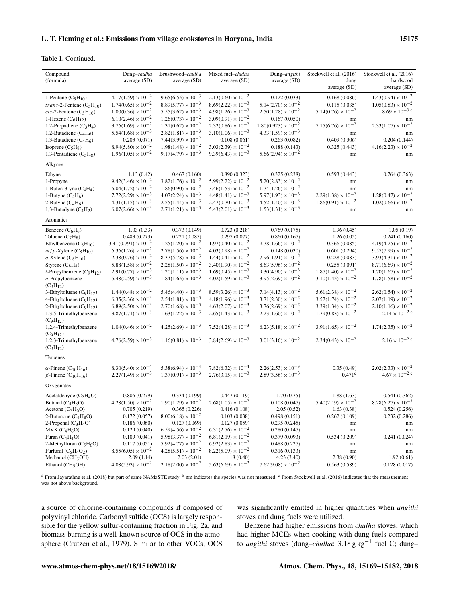### Table 1. Continued.

| Compound                                             | Dung-chulha                  | Brushwood-chulha            | Mixed fuel-chulha           | Dung-angithi                                | Stockwell et al. (2016)     | Stockwell et al. (2016)     |
|------------------------------------------------------|------------------------------|-----------------------------|-----------------------------|---------------------------------------------|-----------------------------|-----------------------------|
| (formula)                                            | average (SD)                 | average (SD)                | average(SD)                 | average (SD)                                | dung                        | hardwood                    |
|                                                      |                              |                             |                             |                                             | average (SD)                | average (SD)                |
|                                                      | $4.17(1.59) \times 10^{-2}$  | $9.65(6.55) \times 10^{-3}$ | $2.13(0.60) \times 10^{-2}$ |                                             |                             | $1.43(0.94) \times 10^{-2}$ |
| 1-Pentene $(C_5H_{10})$                              | $1.74(0.65) \times 10^{-2}$  | $8.89(5.77) \times 10^{-3}$ | $8.69(2.22) \times 10^{-3}$ | 0.122(0.033)<br>$5.14(2.70) \times 10^{-2}$ | 0.168(0.086)                | $1.05(0.83) \times 10^{-2}$ |
| <i>trans</i> -2-Pentene $(C_5H_{10})$                |                              |                             |                             |                                             | 0.115(0.035)                |                             |
| $cis$ -2-Pentene (C <sub>5</sub> H <sub>10</sub> )   | $1.00(0.36) \times 10^{-2}$  | $5.55(3.62) \times 10^{-3}$ | $4.98(1.26) \times 10^{-3}$ | $2.50(1.28) \times 10^{-2}$                 | $5.14(0.76) \times 10^{-2}$ | $8.69\times10^{-3}$ c       |
| 1-Hexene $(C_6H_{12})$                               | $6.10(2.46)\times10^{-2}$    | $1.26(0.73) \times 10^{-2}$ | $3.09(0.91) \times 10^{-2}$ | 0.167(0.050)                                | nm                          | nm                          |
| 1,2-Propadiene $(C_3H_4)$                            | $3.76(1.69) \times 10^{-2}$  | $1.31(0.62) \times 10^{-2}$ | $2.32(0.86) \times 10^{-2}$ | $1.80(0.923) \times 10^{-2}$                | $7.15(6.76) \times 10^{-2}$ | $2.33(1.07)\times10^{-2}$   |
| 1,2-Butadiene $(C_4H_6)$                             | $5.54(1.68) \times 10^{-3}$  | $2.82(1.81) \times 10^{-3}$ | $3.10(1.06) \times 10^{-3}$ | $4.33(1.59) \times 10^{-3}$                 | nm                          | $\rm{nm}$                   |
| 1,3-Butadiene $(C_4H_6)$                             | 0.203(0.071)                 | $7.44(3.99) \times 10^{-2}$ | 0.108(0.061)                | 0.263(0.082)                                | 0.409(0.306)                | 0.204(0.144)                |
| Isoprene $(C_5H_8)$                                  | $8.94(5.80) \times 10^{-2}$  | $1.98(1.48) \times 10^{-2}$ | $3.03(2.39) \times 10^{-2}$ | 0.188(0.143)                                | 0.325(0.443)                | $4.16(2.23) \times 10^{-2}$ |
| 1,3-Pentadiene $(C_5H_8)$                            | $1.96(1.05) \times 10^{-2}$  | $9.17(4.79) \times 10^{-3}$ | $9.39(6.43) \times 10^{-3}$ | $5.66(2.94) \times 10^{-2}$                 | nm                          | nm                          |
|                                                      |                              |                             |                             |                                             |                             |                             |
| Alkynes                                              |                              |                             |                             |                                             |                             |                             |
| Ethyne                                               | 1.13(0.42)                   | 0.467(0.160)                | 0.890(0.323)                | 0.325(0.238)                                | 0.593(0.443)                | 0.764(0.363)                |
| 1-Propyne                                            | $9.42(3.46) \times 10^{-2}$  | $3.82(1.76) \times 10^{-2}$ | $5.99(2.22) \times 10^{-2}$ | $5.20(2.83) \times 10^{-2}$                 | nm                          | nm                          |
| 1-Buten-3-yne $(C_4H_4)$                             | $5.04(1.72) \times 10^{-2}$  | $1.86(0.90) \times 10^{-2}$ | $3.46(1.53) \times 10^{-2}$ | $1.74(1.26) \times 10^{-2}$                 | nm                          | nm                          |
| 1-Butyne $(C_4H_6)$                                  | $7.72(2.29) \times 10^{-3}$  | $4.07(2.24) \times 10^{-3}$ | $4.48(1.41)\times 10^{-3}$  | $5.97(1.93) \times 10^{-3}$                 | $2.29(1.38) \times 10^{-2}$ | $1.28(0.47) \times 10^{-2}$ |
| 2-Butyne $(C_4H_6)$                                  | $4.31(1.15) \times 10^{-3}$  | $2.55(1.44) \times 10^{-3}$ | $2.47(0.70) \times 10^{-3}$ | $4.52(1.40) \times 10^{-3}$                 | $1.86(0.91) \times 10^{-2}$ | $1.02(0.66) \times 10^{-2}$ |
| 1,3-Butadyne $(C_4H_2)$                              | $6.07(2.66) \times 10^{-3}$  | $2.71(1.21) \times 10^{-3}$ | $5.43(2.01) \times 10^{-3}$ | $1.53(1.31) \times 10^{-3}$                 | nm                          | nm                          |
|                                                      |                              |                             |                             |                                             |                             |                             |
| Aromatics                                            |                              |                             |                             |                                             |                             |                             |
| Benzene $(C_6H_6)$                                   | 1.03(0.33)                   | 0.373(0.149)                | 0.723(0.218)                | 0.769(0.175)                                | 1.96(0.45)                  | 1.05(0.19)                  |
| Toluene $(C_7H_8)$                                   | 0.483(0.273)                 | 0.221(0.085)                | 0.297(0.077)                | 0.860(0.167)                                | 1.26(0.05)                  | 0.241(0.160)                |
| Ethylbenzene $(C_8H_{10})$                           | $3.41(0.791) \times 10^{-2}$ | $1.25(1.20) \times 10^{-2}$ | $1.97(0.40) \times 10^{-2}$ | $9.78(1.66) \times 10^{-2}$                 | 0.366(0.085)                | $4.19(4.25) \times 10^{-2}$ |
| $m/p$ -Xylene (C <sub>8</sub> H <sub>10</sub> )      | $6.36(1.26) \times 10^{-2}$  | $2.78(1.56) \times 10^{-2}$ | $4.03(0.98) \times 10^{-2}$ | 0.148(0.030)                                | 0.601(0.294)                | $9.57(7.99) \times 10^{-2}$ |
| $o$ -Xylene (C <sub>8</sub> H <sub>10</sub> )        | $2.38(0.76) \times 10^{-2}$  | $8.37(5.78) \times 10^{-3}$ | $1.44(0.41) \times 10^{-2}$ | $7.96(1.91) \times 10^{-2}$                 | 0.228(0.083)                | $3.93(4.31) \times 10^{-2}$ |
|                                                      | $5.88(1.58)\times10^{-2}$    | $2.28(1.50) \times 10^{-2}$ | $3.40(1.90) \times 10^{-2}$ | $8.63(5.96) \times 10^{-2}$                 |                             | $8.71(6.69) \times 10^{-2}$ |
| Styrene $(C_8H_8)$                                   |                              |                             |                             | $9.30(4.90) \times 10^{-3}$                 | 0.255(0.091)                |                             |
| $i$ -Propylbenzene (C <sub>9</sub> H <sub>12</sub> ) | $2.91(0.77) \times 10^{-3}$  | $1.20(1.11) \times 10^{-3}$ | $1.69(0.45) \times 10^{-3}$ |                                             | $1.87(1.40) \times 10^{-2}$ | $1.70(1.67) \times 10^{-2}$ |
| $n$ -Propylbenzene                                   | $6.48(2.59) \times 10^{-3}$  | $1.84(1.65) \times 10^{-3}$ | $4.02(1.59) \times 10^{-3}$ | $3.95(2.69) \times 10^{-2}$                 | $3.10(1.45) \times 10^{-2}$ | $1.78(1.58) \times 10^{-2}$ |
| $(C_9H_{12})$                                        |                              |                             |                             |                                             |                             |                             |
| 3-Ethyltoluene $(C_9H_{12})$                         | $1.44(0.48) \times 10^{-2}$  | $5.46(4.40) \times 10^{-3}$ | $8.59(3.26) \times 10^{-3}$ | $7.14(4.13) \times 10^{-2}$                 | $5.61(2.38) \times 10^{-2}$ | $2.62(0.54) \times 10^{-2}$ |
| 4-Ethyltoluene $(C_9H_{12})$                         | $6.35(2.36) \times 10^{-3}$  | $2.54(1.81) \times 10^{-3}$ | $4.18(1.96) \times 10^{-3}$ | $3.71(2.30) \times 10^{-2}$                 | $3.57(1.74) \times 10^{-2}$ | $2.07(1.19) \times 10^{-2}$ |
| 2-Ethyltoluene $(C_9H_{12})$                         | $6.89(2.50) \times 10^{-3}$  | $2.70(1.68) \times 10^{-3}$ | $4.63(2.07) \times 10^{-3}$ | $3.76(2.69) \times 10^{-2}$                 | $3.39(1.34) \times 10^{-2}$ | $2.10(1.16) \times 10^{-2}$ |
| 1,3,5-Trimethylbenzene                               | $3.87(1.71) \times 10^{-3}$  | $1.63(1.22) \times 10^{-3}$ | $2.65(1.43) \times 10^{-3}$ | $2.23(1.60) \times 10^{-2}$                 | $1.79(0.83) \times 10^{-2}$ | $2.14\times10^{-2}$ c       |
| $(C_9H_{12})$                                        |                              |                             |                             |                                             |                             |                             |
| 1,2,4-Trimethylbenzene                               | $1.04(0.46) \times 10^{-2}$  | $4.25(2.69) \times 10^{-3}$ | $7.52(4.28) \times 10^{-3}$ | $6.23(5.18) \times 10^{-2}$                 | $3.91(1.65) \times 10^{-2}$ | $1.74(2.35) \times 10^{-2}$ |
| $(C_9H_{12})$                                        |                              |                             |                             |                                             |                             |                             |
| 1,2,3-Trimethylbenzene                               | $4.76(2.59) \times 10^{-3}$  | $1.16(0.81) \times 10^{-3}$ | $3.84(2.69) \times 10^{-3}$ | $3.01(3.16) \times 10^{-2}$                 | $2.34(0.43) \times 10^{-2}$ | $2.16\times10^{-2}$ c       |
| $(C_9H_{12})$                                        |                              |                             |                             |                                             |                             |                             |
| Terpenes                                             |                              |                             |                             |                                             |                             |                             |
|                                                      |                              |                             |                             |                                             |                             |                             |
| $\alpha$ -Pinene (C <sub>10</sub> H <sub>16</sub> )  | $8.30(5.40) \times 10^{-4}$  | $5.38(6.94) \times 10^{-4}$ | $7.82(6.32) \times 10^{-4}$ | $2.26(2.53) \times 10^{-3}$                 | 0.35(0.49)                  | $2.02(2.33)\times10^{-2}$   |
| $\beta$ -Pinene (C <sub>10</sub> H <sub>16</sub> )   | $2.27(1.49) \times 10^{-3}$  | $1.37(0.91) \times 10^{-3}$ | $2.76(3.15) \times 10^{-3}$ | $2.89(3.56) \times 10^{-3}$                 | $0.471$ <sup>c</sup>        | $4.67 \times 10^{-2}$ c     |
| Oxygenates                                           |                              |                             |                             |                                             |                             |                             |
| Acetaldehyde $(C_2H_4O)$                             | 0.805(0.279)                 | 0.334(0.199)                | 0.447(0.119)                | 1.70(0.75)                                  | 1.88(1.63)                  | 0.541(0.362)                |
| Butanal $(C_4H_8O)$                                  | $4.28(1.50) \times 10^{-2}$  | $1.90(1.29) \times 10^{-2}$ | $2.68(1.05) \times 10^{-2}$ | 0.108(0.047)                                | $5.40(2.19) \times 10^{-2}$ | $8.28(6.27)\times 10^{-3}$  |
|                                                      | 0.705(0.219)                 | 0.365(0.226)                | 0.416(0.108)                | 2.05(0.52)                                  | 1.63(0.38)                  |                             |
| Acetone $(C_3H_6O)$                                  |                              | $8.00(6.18) \times 10^{-2}$ |                             |                                             |                             | 0.524(0.256)                |
| 2-Butanone $(C_4H_8O)$                               | 0.172(0.057)                 |                             | 0.103(0.038)                | 0.498(0.151)                                | 0.262(0.109)                | 0.232(0.286)                |
| 2-Propenal $(C_3H_4O)$                               | 0.186(0.060)                 | 0.127(0.069)                | 0.127(0.059)                | 0.295(0.245)                                | nm                          | nm                          |
| MVK (C <sub>4</sub> H <sub>6</sub> O)                | 0.129(0.040)                 | $6.59(4.56) \times 10^{-2}$ | $6.31(2.76) \times 10^{-2}$ | 0.280(0.147)                                | nm                          | nm                          |
| Furan $(C_4H_4O)$                                    | 0.109(0.041)                 | $5.98(3.37) \times 10^{-2}$ | $6.81(2.19) \times 10^{-2}$ | 0.379(0.093)                                | 0.534(0.209)                | 0.241(0.024)                |
| 2-Methylfuran $(C_5H_6O)$                            | 0.117(0.051)                 | $5.92(4.77) \times 10^{-2}$ | $6.92(2.83) \times 10^{-2}$ | 0.488(0.227)                                | nm                          | nm                          |
| Furfural $(C_5H_4O_2)$                               | $8.55(6.05) \times 10^{-2}$  | $4.28(5.51) \times 10^{-2}$ | $8.22(5.09) \times 10^{-2}$ | 0.316(0.133)                                | nm                          | nm                          |
| Methanol (CH <sub>3</sub> OH)                        | 2.09(1.14)                   | 2.03(2.01)                  | 1.18(0.40)                  | 4.23(3.40)                                  | 2.38(0.90)                  | 1.92(0.61)                  |
| Ethanol $(CH_5OH)$                                   | $4.08(5.93) \times 10^{-2}$  | $2.18(2.00) \times 10^{-2}$ | $5.63(6.69) \times 10^{-2}$ | $7.62(9.08) \times 10^{-2}$                 | 0.563(0.589)                | 0.128(0.017)                |

<sup>a</sup> From Jayarathne et al. (2018) but part of same NAMaSTE study. <sup>b</sup> nm indicates the species was not measured. <sup>c</sup> From Stockwell et al. (2016) indicates that the measurement was not above background.

a source of chlorine-containing compounds if composed of polyvinyl chloride. Carbonyl sulfide (OCS) is largely responsible for the yellow sulfur-containing fraction in Fig. 2a, and biomass burning is a well-known source of OCS in the atmosphere (Crutzen et al., 1979). Similar to other VOCs, OCS

was significantly emitted in higher quantities when *angithi* stoves and dung fuels were utilized.

Benzene had higher emissions from *chulha* stoves, which had higher MCEs when cooking with dung fuels compared to *angithi* stoves (dung–*chulha*: 3.18 g kg−<sup>1</sup> fuel C; dung–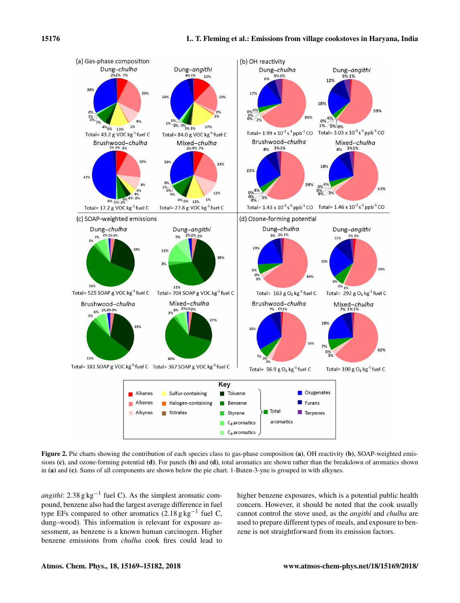

Figure 2. Pie charts showing the contribution of each species class to gas-phase composition (a), OH reactivity (b), SOAP-weighted emissions (c), and ozone-forming potential (d). For panels (b) and (d), total aromatics are shown rather than the breakdown of aromatics shown in (a) and (c). Sums of all components are shown below the pie chart. 1-Buten-3-yne is grouped in with alkynes.

*angithi*:  $2.38 \text{ g kg}^{-1}$  fuel C). As the simplest aromatic compound, benzene also had the largest average difference in fuel type EFs compared to other aromatics  $(2.18 \text{ g kg}^{-1}$  fuel C, dung–wood). This information is relevant for exposure assessment, as benzene is a known human carcinogen. Higher benzene emissions from *chulha* cook fires could lead to higher benzene exposures, which is a potential public health concern. However, it should be noted that the cook usually cannot control the stove used, as the *angithi* and *chulha* are used to prepare different types of meals, and exposure to benzene is not straightforward from its emission factors.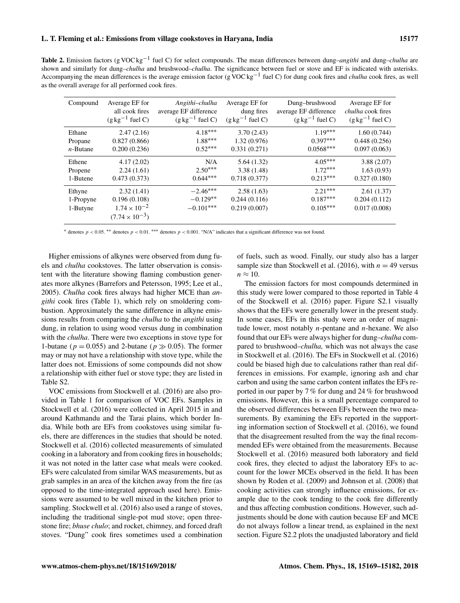Table 2. Emission factors (g VOC kg−<sup>1</sup> fuel C) for select compounds. The mean differences between dung–*angithi* and dung–*chulha* are shown and similarly for dung–*chulha* and brushwood–*chulha*. The significance between fuel or stove and EF is indicated with asterisks. Accompanying the mean differences is the average emission factor (g VOC kg−<sup>1</sup> fuel C) for dung cook fires and *chulha* cook fires, as well as the overall average for all performed cook fires.

| Compound                        | Average EF for                                                                 | Angithi-chulha                          | Average EF for                             | Dung-brushwood                        | Average EF for                             |
|---------------------------------|--------------------------------------------------------------------------------|-----------------------------------------|--------------------------------------------|---------------------------------------|--------------------------------------------|
|                                 | all cook fires                                                                 | average EF difference                   | dung fires                                 | average EF difference                 | <i>chulha</i> cook fires                   |
|                                 | $(g \, kg^{-1} \text{ fuel C})$                                                | $(g \text{ kg}^{-1} \text{ fuel C})$    | $(g \text{ kg}^{-1} \text{ fuel C})$       | $(g \text{ kg}^{-1} \text{ fuel C})$  | $(g \, kg^{-1} \text{ fuel C})$            |
| Ethane                          | 2.47(2.16)                                                                     | $4.18***$                               | 3.70(2.43)                                 | $1.19***$                             | 1.60(0.744)                                |
| Propane                         | 0.827(0.866)                                                                   | $1.88***$                               | 1.32(0.976)                                | $0.397***$                            | 0.448(0.256)                               |
| $n$ -Butane                     | 0.200(0.236)                                                                   | $0.52***$                               | 0.331(0.271)                               | $0.0568***$                           | 0.097(0.063)                               |
| Ethene                          | 4.17(2.02)                                                                     | N/A                                     | 5.64(1.32)                                 | $4.05***$                             | 3.88(2.07)                                 |
| Propene                         | 2.24(1.61)                                                                     | $2.50***$                               | 3.38(1.48)                                 | $1.72***$                             | 1.63(0.93)                                 |
| 1-Butene                        | 0.473(0.373)                                                                   | $0.644***$                              | 0.718(0.377)                               | $0.213***$                            | 0.327(0.180)                               |
| Ethyne<br>1-Propyne<br>1-Butyne | 2.32(1.41)<br>0.196(0.108)<br>$1.74 \times 10^{-2}$<br>$(7.74 \times 10^{-3})$ | $-2.46***$<br>$-0.129**$<br>$-0.101***$ | 2.58(1.63)<br>0.244(0.116)<br>0.219(0.007) | $2.21***$<br>$0.187***$<br>$0.105***$ | 2.61(1.37)<br>0.204(0.112)<br>0.017(0.008) |

\* denotes  $p < 0.05$ . \*\* denotes  $p < 0.01$ . \*\*\* denotes  $p < 0.001$ . "N/A" indicates that a significant difference was not found.

Higher emissions of alkynes were observed from dung fuels and *chulha* cookstoves. The latter observation is consistent with the literature showing flaming combustion generates more alkynes (Barrefors and Petersson, 1995; Lee et al., 2005). *Chulha* cook fires always had higher MCE than *angithi* cook fires (Table 1), which rely on smoldering combustion. Approximately the same difference in alkyne emissions results from comparing the *chulha* to the *angithi* using dung, in relation to using wood versus dung in combination with the *chulha*. There were two exceptions in stove type for 1-butane ( $p = 0.055$ ) and 2-butane ( $p \gg 0.05$ ). The former may or may not have a relationship with stove type, while the latter does not. Emissions of some compounds did not show a relationship with either fuel or stove type; they are listed in Table S2.

VOC emissions from Stockwell et al. (2016) are also provided in Table 1 for comparison of VOC EFs. Samples in Stockwell et al. (2016) were collected in April 2015 in and around Kathmandu and the Tarai plains, which border India. While both are EFs from cookstoves using similar fuels, there are differences in the studies that should be noted. Stockwell et al. (2016) collected measurements of simulated cooking in a laboratory and from cooking fires in households; it was not noted in the latter case what meals were cooked. EFs were calculated from similar WAS measurements, but as grab samples in an area of the kitchen away from the fire (as opposed to the time-integrated approach used here). Emissions were assumed to be well mixed in the kitchen prior to sampling. Stockwell et al. (2016) also used a range of stoves, including the traditional single-pot mud stove; open threestone fire; *bhuse chulo*; and rocket, chimney, and forced draft stoves. "Dung" cook fires sometimes used a combination

of fuels, such as wood. Finally, our study also has a larger sample size than Stockwell et al. (2016), with  $n = 49$  versus  $n \approx 10$ .

The emission factors for most compounds determined in this study were lower compared to those reported in Table 4 of the Stockwell et al. (2016) paper. Figure S2.1 visually shows that the EFs were generally lower in the present study. In some cases, EFs in this study were an order of magnitude lower, most notably  $n$ -pentane and  $n$ -hexane. We also found that our EFs were always higher for dung–*chulha* compared to brushwood–*chulha,* which was not always the case in Stockwell et al. (2016). The EFs in Stockwell et al. (2016) could be biased high due to calculations rather than real differences in emissions. For example, ignoring ash and char carbon and using the same carbon content inflates the EFs reported in our paper by 7 % for dung and 24 % for brushwood emissions. However, this is a small percentage compared to the observed differences between EFs between the two measurements. By examining the EFs reported in the supporting information section of Stockwell et al. (2016), we found that the disagreement resulted from the way the final recommended EFs were obtained from the measurements. Because Stockwell et al. (2016) measured both laboratory and field cook fires, they elected to adjust the laboratory EFs to account for the lower MCEs observed in the field. It has been shown by Roden et al. (2009) and Johnson et al. (2008) that cooking activities can strongly influence emissions, for example due to the cook tending to the cook fire differently and thus affecting combustion conditions. However, such adjustments should be done with caution because EF and MCE do not always follow a linear trend, as explained in the next section. Figure S2.2 plots the unadjusted laboratory and field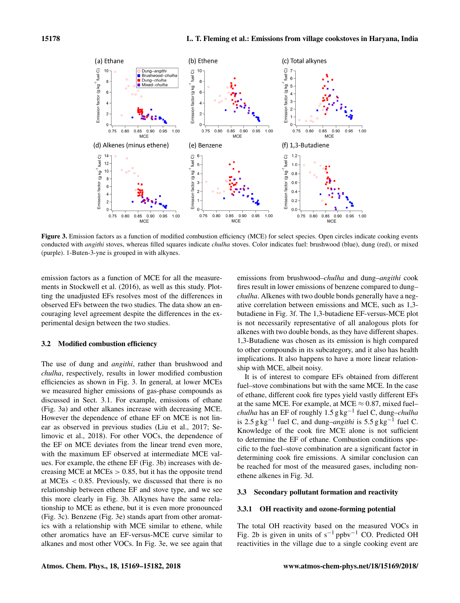

Figure 3. Emission factors as a function of modified combustion efficiency (MCE) for select species. Open circles indicate cooking events conducted with *angithi* stoves, whereas filled squares indicate *chulha* stoves. Color indicates fuel: brushwood (blue), dung (red), or mixed (purple). 1-Buten-3-yne is grouped in with alkynes.

emission factors as a function of MCE for all the measurements in Stockwell et al. (2016), as well as this study. Plotting the unadjusted EFs resolves most of the differences in observed EFs between the two studies. The data show an encouraging level agreement despite the differences in the experimental design between the two studies.

#### 3.2 Modified combustion efficiency

The use of dung and *angithi*, rather than brushwood and *chulha*, respectively, results in lower modified combustion efficiencies as shown in Fig. 3. In general, at lower MCEs we measured higher emissions of gas-phase compounds as discussed in Sect. 3.1. For example, emissions of ethane (Fig. 3a) and other alkanes increase with decreasing MCE. However the dependence of ethane EF on MCE is not linear as observed in previous studies (Liu et al., 2017; Selimovic et al., 2018). For other VOCs, the dependence of the EF on MCE deviates from the linear trend even more, with the maximum EF observed at intermediate MCE values. For example, the ethene EF (Fig. 3b) increases with decreasing MCE at MCEs  $> 0.85$ , but it has the opposite trend at MCEs  $< 0.85$ . Previously, we discussed that there is no relationship between ethene EF and stove type, and we see this more clearly in Fig. 3b. Alkynes have the same relationship to MCE as ethene, but it is even more pronounced (Fig. 3c). Benzene (Fig. 3e) stands apart from other aromatics with a relationship with MCE similar to ethene, while other aromatics have an EF-versus-MCE curve similar to alkanes and most other VOCs. In Fig. 3e, we see again that emissions from brushwood–*chulha* and dung–*angithi* cook fires result in lower emissions of benzene compared to dung– *chulha*. Alkenes with two double bonds generally have a negative correlation between emissions and MCE, such as 1,3 butadiene in Fig. 3f. The 1,3-butadiene EF-versus-MCE plot is not necessarily representative of all analogous plots for alkenes with two double bonds, as they have different shapes. 1,3-Butadiene was chosen as its emission is high compared to other compounds in its subcategory, and it also has health implications. It also happens to have a more linear relationship with MCE, albeit noisy.

It is of interest to compare EFs obtained from different fuel–stove combinations but with the same MCE. In the case of ethane, different cook fire types yield vastly different EFs at the same MCE. For example, at MCE  $\approx 0.87$ , mixed fuel– *chulha* has an EF of roughly 1.5 g kg−<sup>1</sup> fuel C, dung–*chulha* is 2.5 g kg<sup>-1</sup> fuel C, and dung–*angithi* is 5.5 g kg<sup>-1</sup> fuel C. Knowledge of the cook fire MCE alone is not sufficient to determine the EF of ethane. Combustion conditions specific to the fuel–stove combination are a significant factor in determining cook fire emissions. A similar conclusion can be reached for most of the measured gases, including nonethene alkenes in Fig. 3d.

## 3.3 Secondary pollutant formation and reactivity

#### 3.3.1 OH reactivity and ozone-forming potential

The total OH reactivity based on the measured VOCs in Fig. 2b is given in units of  $s^{-1}$  ppbv<sup>-1</sup> CO. Predicted OH reactivities in the village due to a single cooking event are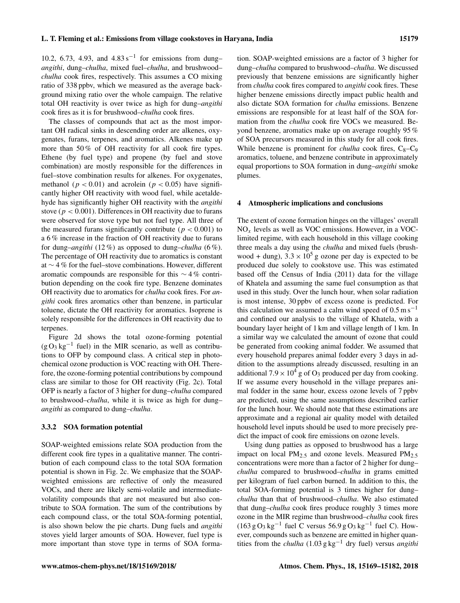10.2, 6.73, 4.93, and  $4.83 \text{ s}^{-1}$  for emissions from dung– *angithi*, dung–*chulha*, mixed fuel–*chulha*, and brushwood– *chulha* cook fires, respectively. This assumes a CO mixing ratio of 338 ppbv, which we measured as the average background mixing ratio over the whole campaign. The relative total OH reactivity is over twice as high for dung–*angithi* cook fires as it is for brushwood–*chulha* cook fires.

The classes of compounds that act as the most important OH radical sinks in descending order are alkenes, oxygenates, furans, terpenes, and aromatics. Alkenes make up more than 50 % of OH reactivity for all cook fire types. Ethene (by fuel type) and propene (by fuel and stove combination) are mostly responsible for the differences in fuel–stove combination results for alkenes. For oxygenates, methanol ( $p < 0.01$ ) and acrolein ( $p < 0.05$ ) have significantly higher OH reactivity with wood fuel, while acetaldehyde has significantly higher OH reactivity with the *angithi* stove ( $p < 0.001$ ). Differences in OH reactivity due to furans were observed for stove type but not fuel type. All three of the measured furans significantly contribute ( $p < 0.001$ ) to a 6 % increase in the fraction of OH reactivity due to furans for dung–*angithi* (12 %) as opposed to dung–*chulha* (6 %). The percentage of OH reactivity due to aromatics is constant at ∼ 4 % for the fuel–stove combinations. However, different aromatic compounds are responsible for this ∼ 4 % contribution depending on the cook fire type. Benzene dominates OH reactivity due to aromatics for *chulha* cook fires. For *angithi* cook fires aromatics other than benzene, in particular toluene, dictate the OH reactivity for aromatics. Isoprene is solely responsible for the differences in OH reactivity due to terpenes.

Figure 2d shows the total ozone-forming potential  $(gO_3 kg^{-1}$  fuel) in the MIR scenario, as well as contributions to OFP by compound class. A critical step in photochemical ozone production is VOC reacting with OH. Therefore, the ozone-forming potential contributions by compound class are similar to those for OH reactivity (Fig. 2c). Total OFP is nearly a factor of 3 higher for dung–*chulha* compared to brushwood–*chulha*, while it is twice as high for dung– *angithi* as compared to dung–*chulha*.

## 3.3.2 SOA formation potential

SOAP-weighted emissions relate SOA production from the different cook fire types in a qualitative manner. The contribution of each compound class to the total SOA formation potential is shown in Fig. 2c. We emphasize that the SOAPweighted emissions are reflective of only the measured VOCs, and there are likely semi-volatile and intermediatevolatility compounds that are not measured but also contribute to SOA formation. The sum of the contributions by each compound class, or the total SOA-forming potential, is also shown below the pie charts. Dung fuels and *angithi* stoves yield larger amounts of SOA. However, fuel type is more important than stove type in terms of SOA formation. SOAP-weighted emissions are a factor of 3 higher for dung–*chulha* compared to brushwood–*chulha*. We discussed previously that benzene emissions are significantly higher from *chulha* cook fires compared to *angithi* cook fires. These higher benzene emissions directly impact public health and also dictate SOA formation for *chulha* emissions. Benzene emissions are responsible for at least half of the SOA formation from the *chulha* cook fire VOCs we measured. Beyond benzene, aromatics make up on average roughly 95 % of SOA precursors measured in this study for all cook fires. While benzene is prominent for *chulha* cook fires,  $C_8 - C_9$ aromatics, toluene, and benzene contribute in approximately equal proportions to SOA formation in dung–*angithi* smoke plumes.

## 4 Atmospheric implications and conclusions

The extent of ozone formation hinges on the villages' overall  $NO<sub>x</sub>$  levels as well as VOC emissions. However, in a VOClimited regime, with each household in this village cooking three meals a day using the *chulha* and mixed fuels (brushwood + dung),  $3.3 \times 10^5$  g ozone per day is expected to be produced due solely to cookstove use. This was estimated based off the Census of India (2011) data for the village of Khatela and assuming the same fuel consumption as that used in this study. Over the lunch hour, when solar radiation is most intense, 30 ppbv of excess ozone is predicted. For this calculation we assumed a calm wind speed of  $0.5 \text{ m s}^{-1}$ and confined our analysis to the village of Khatela, with a boundary layer height of 1 km and village length of 1 km. In a similar way we calculated the amount of ozone that could be generated from cooking animal fodder. We assumed that every household prepares animal fodder every 3 days in addition to the assumptions already discussed, resulting in an additional  $7.9 \times 10^4$  g of O<sub>3</sub> produced per day from cooking. If we assume every household in the village prepares animal fodder in the same hour, excess ozone levels of 7 ppbv are predicted, using the same assumptions described earlier for the lunch hour. We should note that these estimations are approximate and a regional air quality model with detailed household level inputs should be used to more precisely predict the impact of cook fire emissions on ozone levels.

Using dung patties as opposed to brushwood has a large impact on local  $PM_{2.5}$  and ozone levels. Measured  $PM_{2.5}$ concentrations were more than a factor of 2 higher for dung– *chulha* compared to brushwood–*chulha* in grams emitted per kilogram of fuel carbon burned. In addition to this, the total SOA-forming potential is 3 times higher for dung– *chulha* than that of brushwood–*chulha*. We also estimated that dung–*chulha* cook fires produce roughly 3 times more ozone in the MIR regime than brushwood–*chulha* cook fires (163 g O<sub>3</sub> kg<sup>-1</sup> fuel C versus 56.9 g O<sub>3</sub> kg<sup>-1</sup> fuel C). However, compounds such as benzene are emitted in higher quantities from the *chulha* (1.03 g kg−<sup>1</sup> dry fuel) versus *angithi*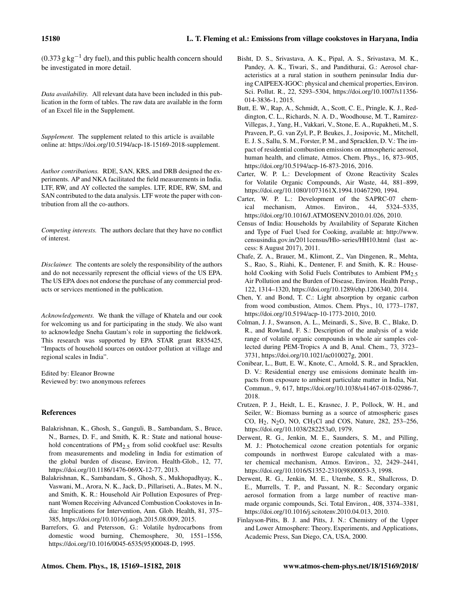$(0.373 \text{ g kg}^{-1} \text{ dry fuel})$ , and this public health concern should be investigated in more detail.

*Data availability.* All relevant data have been included in this publication in the form of tables. The raw data are available in the form of an Excel file in the Supplement.

*Supplement.* The supplement related to this article is available online at: [https://doi.org/10.5194/acp-18-15169-2018-supplement.](https://doi.org/10.5194/acp-18-15169-2018-supplement)

*Author contributions.* RDE, SAN, KRS, and DRB designed the experiments. AP and NKA facilitated the field measurements in India. LTF, RW, and AY collected the samples. LTF, RDE, RW, SM, and SAN contributed to the data analysis. LTF wrote the paper with contribution from all the co-authors.

*Competing interests.* The authors declare that they have no conflict of interest.

*Disclaimer.* The contents are solely the responsibility of the authors and do not necessarily represent the official views of the US EPA. The US EPA does not endorse the purchase of any commercial products or services mentioned in the publication.

*Acknowledgements.* We thank the village of Khatela and our cook for welcoming us and for participating in the study. We also want to acknowledge Sneha Gautam's role in supporting the fieldwork. This research was supported by EPA STAR grant R835425, "Impacts of household sources on outdoor pollution at village and regional scales in India".

Edited by: Eleanor Browne Reviewed by: two anonymous referees

# References

- Balakrishnan, K., Ghosh, S., Ganguli, B., Sambandam, S., Bruce, N., Barnes, D. F., and Smith, K. R.: State and national household concentrations of PM<sub>2.5</sub> from solid cookfuel use: Results from measurements and modeling in India for estimation of the global burden of disease, Environ. Health-Glob., 12, 77, https://doi.org[/10.1186/1476-069X-12-77,](https://doi.org/10.1186/1476-069X-12-77) 2013.
- Balakrishnan, K., Sambandam, S., Ghosh, S., Mukhopadhyay, K., Vaswani, M., Arora, N. K., Jack, D., Pillariseti, A., Bates, M. N., and Smith, K. R.: Household Air Pollution Exposures of Pregnant Women Receiving Advanced Combustion Cookstoves in India: Implications for Intervention, Ann. Glob. Health, 81, 375– 385, https://doi.org[/10.1016/j.aogh.2015.08.009,](https://doi.org/10.1016/j.aogh.2015.08.009) 2015.
- Barrefors, G. and Petersson, G.: Volatile hydrocarbons from domestic wood burning, Chemosphere, 30, 1551–1556, https://doi.org[/10.1016/0045-6535\(95\)00048-D,](https://doi.org/10.1016/0045-6535(95)00048-D) 1995.
- Bisht, D. S., Srivastava, A. K., Pipal, A. S., Srivastava, M. K., Pandey, A. K., Tiwari, S., and Pandithurai, G.: Aerosol characteristics at a rural station in southern peninsular India during CAIPEEX-IGOC: physical and chemical properties, Environ. Sci. Pollut. R., 22, 5293–5304, https://doi.org[/10.1007/s11356-](https://doi.org/10.1007/s11356-014-3836-1) [014-3836-1,](https://doi.org/10.1007/s11356-014-3836-1) 2015.
- Butt, E. W., Rap, A., Schmidt, A., Scott, C. E., Pringle, K. J., Reddington, C. L., Richards, N. A. D., Woodhouse, M. T., Ramirez-Villegas, J., Yang, H., Vakkari, V., Stone, E. A., Rupakheti, M., S. Praveen, P., G. van Zyl, P., P. Beukes, J., Josipovic, M., Mitchell, E. J. S., Sallu, S. M., Forster, P. M., and Spracklen, D. V.: The impact of residential combustion emissions on atmospheric aerosol, human health, and climate, Atmos. Chem. Phys., 16, 873–905, https://doi.org[/10.5194/acp-16-873-2016,](https://doi.org/10.5194/acp-16-873-2016) 2016.
- Carter, W. P. L.: Development of Ozone Reactivity Scales for Volatile Organic Compounds, Air Waste, 44, 881–899, https://doi.org[/10.1080/1073161X.1994.10467290,](https://doi.org/10.1080/1073161X.1994.10467290) 1994.
- Carter, W. P. L.: Development of the SAPRC-07 chemical mechanism, Atmos. Environ., 44, 5324–5335, https://doi.org[/10.1016/J.ATMOSENV.2010.01.026,](https://doi.org/10.1016/J.ATMOSENV.2010.01.026) 2010.
- Census of India: Households by Availability of Separate Kitchen and Type of Fuel Used for Cooking, available at: [http://www.](http://www.censusindia.gov.in/2011census/Hlo-series/HH10.html) [censusindia.gov.in/2011census/Hlo-series/HH10.html](http://www.censusindia.gov.in/2011census/Hlo-series/HH10.html) (last access: 8 August 2017), 2011.
- Chafe, Z. A., Brauer, M., Klimont, Z., Van Dingenen, R., Mehta, S., Rao, S., Riahi, K., Dentener, F. and Smith, K. R.: Household Cooking with Solid Fuels Contributes to Ambient PM<sub>2.5</sub> Air Pollution and the Burden of Disease, Environ. Health Persp., 122, 1314–1320, https://doi.org[/10.1289/ehp.1206340,](https://doi.org/10.1289/ehp.1206340) 2014.
- Chen, Y. and Bond, T. C.: Light absorption by organic carbon from wood combustion, Atmos. Chem. Phys., 10, 1773–1787, https://doi.org[/10.5194/acp-10-1773-2010,](https://doi.org/10.5194/acp-10-1773-2010) 2010.
- Colman, J. J., Swanson, A. L., Meinardi, S., Sive, B. C., Blake, D. R., and Rowland, F. S.: Description of the analysis of a wide range of volatile organic compounds in whole air samples collected during PEM-Tropics A and B, Anal. Chem., 73, 3723– 3731, https://doi.org[/10.1021/ac010027g,](https://doi.org/10.1021/ac010027g) 2001.
- Conibear, L., Butt, E. W., Knote, C., Arnold, S. R., and Spracklen, D. V.: Residential energy use emissions dominate health impacts from exposure to ambient particulate matter in India, Nat. Commun., 9, 617, https://doi.org[/10.1038/s41467-018-02986-7,](https://doi.org/10.1038/s41467-018-02986-7) 2018.
- Crutzen, P. J., Heidt, L. E., Krasnec, J. P., Pollock, W. H., and Seiler, W.: Biomass burning as a source of atmospheric gases CO, H2, N2O, NO, CH3Cl and COS, Nature, 282, 253–256, https://doi.org[/10.1038/282253a0,](https://doi.org/10.1038/282253a0) 1979.
- Derwent, R. G., Jenkin, M. E., Saunders, S. M., and Pilling, M. J.: Photochemical ozone creation potentials for organic compounds in northwest Europe calculated with a master chemical mechanism, Atmos. Environ., 32, 2429–2441, https://doi.org[/10.1016/S1352-2310\(98\)00053-3,](https://doi.org/10.1016/S1352-2310(98)00053-3) 1998.
- Derwent, R. G., Jenkin, M. E., Utembe, S. R., Shallcross, D. E., Murrells, T. P., and Passant, N. R.: Secondary organic aerosol formation from a large number of reactive manmade organic compounds, Sci. Total Environ., 408, 3374–3381, https://doi.org[/10.1016/j.scitotenv.2010.04.013,](https://doi.org/10.1016/j.scitotenv.2010.04.013) 2010.
- Finlayson-Pitts, B. J. and Pitts, J. N.: Chemistry of the Upper and Lower Atmosphere: Theory, Experiments, and Applications, Academic Press, San Diego, CA, USA, 2000.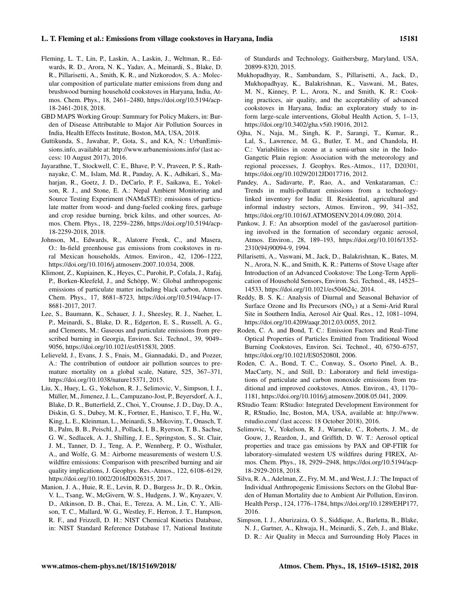## L. T. Fleming et al.: Emissions from village cookstoves in Haryana, India 15181

- Fleming, L. T., Lin, P., Laskin, A., Laskin, J., Weltman, R., Edwards, R. D., Arora, N. K., Yadav, A., Meinardi, S., Blake, D. R., Pillarisetti, A., Smith, K. R., and Nizkorodov, S. A.: Molecular composition of particulate matter emissions from dung and brushwood burning household cookstoves in Haryana, India, Atmos. Chem. Phys., 18, 2461–2480, https://doi.org[/10.5194/acp-](https://doi.org/10.5194/acp-18-2461-2018)[18-2461-2018,](https://doi.org/10.5194/acp-18-2461-2018) 2018.
- GBD MAPS Working Group: Summary for Policy Makers, in: Burden of Disease Attributable to Major Air Pollution Sources in India, Health Effects Institute, Boston, MA, USA, 2018.
- Guttikunda, S., Jawahar, P., Gota, S., and KA, N.: UrbanEmissions.info, available at: <http://www.urbanemissions.info/> (last access: 10 August 2017), 2016.
- Jayarathne, T., Stockwell, C. E., Bhave, P. V., Praveen, P. S., Rathnayake, C. M., Islam, Md. R., Panday, A. K., Adhikari, S., Maharjan, R., Goetz, J. D., DeCarlo, P. F., Saikawa, E., Yokelson, R. J., and Stone, E. A.: Nepal Ambient Monitoring and Source Testing Experiment (NAMaSTE): emissions of particulate matter from wood- and dung-fueled cooking fires, garbage and crop residue burning, brick kilns, and other sources, Atmos. Chem. Phys., 18, 2259–2286, https://doi.org[/10.5194/acp-](https://doi.org/10.5194/acp-18-2259-2018)[18-2259-2018,](https://doi.org/10.5194/acp-18-2259-2018) 2018.
- Johnson, M., Edwards, R., Alatorre Frenk, C., and Masera, O.: In-field greenhouse gas emissions from cookstoves in rural Mexican households, Atmos. Environ., 42, 1206–1222, https://doi.org[/10.1016/j.atmosenv.2007.10.034,](https://doi.org/10.1016/j.atmosenv.2007.10.034) 2008.
- Klimont, Z., Kupiainen, K., Heyes, C., Purohit, P., Cofala, J., Rafaj, P., Borken-Kleefeld, J., and Schöpp, W.: Global anthropogenic emissions of particulate matter including black carbon, Atmos. Chem. Phys., 17, 8681–8723, https://doi.org[/10.5194/acp-17-](https://doi.org/10.5194/acp-17-8681-2017) [8681-2017,](https://doi.org/10.5194/acp-17-8681-2017) 2017.
- Lee, S., Baumann, K., Schauer, J. J., Sheesley, R. J., Naeher, L. P., Meinardi, S., Blake, D. R., Edgerton, E. S., Russell, A. G., and Clements, M.: Gaseous and particulate emissions from prescribed burning in Georgia, Environ. Sci. Technol., 39, 9049– 9056, https://doi.org[/10.1021/es051583l,](https://doi.org/10.1021/es051583l) 2005.
- Lelieveld, J., Evans, J. S., Fnais, M., Giannadaki, D., and Pozzer, A.: The contribution of outdoor air pollution sources to premature mortality on a global scale, Nature, 525, 367–371, https://doi.org[/10.1038/nature15371,](https://doi.org/10.1038/nature15371) 2015.
- Liu, X., Huey, L. G., Yokelson, R. J., Selimovic, V., Simpson, I. J., Müller, M., Jimenez, J. L., Campuzano-Jost, P., Beyersdorf, A. J., Blake, D. R., Butterfield, Z., Choi, Y., Crounse, J. D., Day, D. A., Diskin, G. S., Dubey, M. K., Fortner, E., Hanisco, T. F., Hu, W., King, L. E., Kleinman, L., Meinardi, S., Mikoviny, T., Onasch, T. B., Palm, B. B., Peischl, J., Pollack, I. B., Ryerson, T. B., Sachse, G. W., Sedlacek, A. J., Shilling, J. E., Springston, S., St. Clair, J. M., Tanner, D. J., Teng, A. P., Wennberg, P. O., Wisthaler, A., and Wolfe, G. M.: Airborne measurements of western U.S. wildfire emissions: Comparison with prescribed burning and air quality implications, J. Geophys. Res.-Atmos., 122, 6108–6129, https://doi.org[/10.1002/2016JD026315,](https://doi.org/10.1002/2016JD026315) 2017.
- Manion, J. A., Huie, R. E., Levin, R. D., Burgess Jr., D. R., Orkin, V. L., Tsang, W., McGivern, W. S., Hudgens, J. W., Knyazev, V. D., Atkinson, D. B., Chai, E., Tereza, A. M., Lin, C. Y., Allison, T. C., Mallard, W. G., Westley, F., Herron, J. T., Hampson, R. F., and Frizzell, D. H.: NIST Chemical Kinetics Database, in: NIST Standard Reference Database 17, National Institute

of Standards and Technology, Gaithersburg, Maryland, USA, 20899-8320, 2015.

- Mukhopadhyay, R., Sambandam, S., Pillarisetti, A., Jack, D., Mukhopadhyay, K., Balakrishnan, K., Vaswani, M., Bates, M. N., Kinney, P. L., Arora, N., and Smith, K. R.: Cooking practices, air quality, and the acceptability of advanced cookstoves in Haryana, India: an exploratory study to inform large-scale interventions, Global Health Action, 5, 1–13, https://doi.org[/10.3402/gha.v5i0.19016,](https://doi.org/10.3402/gha.v5i0.19016) 2012.
- Ojha, N., Naja, M., Singh, K. P., Sarangi, T., Kumar, R., Lal, S., Lawrence, M. G., Butler, T. M., and Chandola, H. C.: Variabilities in ozone at a semi-urban site in the Indo-Gangetic Plain region: Association with the meteorology and regional processes, J. Geophys. Res.-Atmos., 117, D20301, https://doi.org[/10.1029/2012JD017716,](https://doi.org/10.1029/2012JD017716) 2012.
- Pandey, A., Sadavarte, P., Rao, A., and Venkataraman, C.: Trends in multi-pollutant emissions from a technologylinked inventory for India: II. Residential, agricultural and informal industry sectors, Atmos. Environ., 99, 341–352, https://doi.org[/10.1016/J.ATMOSENV.2014.09.080,](https://doi.org/10.1016/J.ATMOSENV.2014.09.080) 2014.
- Pankow, J. F.: An absorption model of the gas/aerosol partitioning involved in the formation of secondary organic aerosol, Atmos. Environ., 28, 189–193, https://doi.org[/10.1016/1352-](https://doi.org/10.1016/1352-2310(94)90094-9) [2310\(94\)90094-9,](https://doi.org/10.1016/1352-2310(94)90094-9) 1994.
- Pillarisetti, A., Vaswani, M., Jack, D., Balakrishnan, K., Bates, M. N., Arora, N. K., and Smith, K. R.: Patterns of Stove Usage after Introduction of an Advanced Cookstove: The Long-Term Application of Household Sensors, Environ. Sci. Technol., 48, 14525– 14533, https://doi.org[/10.1021/es504624c,](https://doi.org/10.1021/es504624c) 2014.
- Reddy, B. S. K.: Analysis of Diurnal and Seasonal Behavior of Surface Ozone and Its Precursors  $(NO<sub>x</sub>)$  at a Semi-Arid Rural Site in Southern India, Aerosol Air Qual. Res., 12, 1081–1094, https://doi.org[/10.4209/aaqr.2012.03.0055,](https://doi.org/10.4209/aaqr.2012.03.0055) 2012.
- Roden, C. A. and Bond, T. C.: Emission Factors and Real-Time Optical Properties of Particles Emitted from Traditional Wood Burning Cookstoves, Environ. Sci. Technol., 40, 6750–6757, https://doi.org[/10.1021/ES052080I,](https://doi.org/10.1021/ES052080I) 2006.
- Roden, C. A., Bond, T. C., Conway, S., Osorto Pinel, A. B., MacCarty, N., and Still, D.: Laboratory and field investigations of particulate and carbon monoxide emissions from traditional and improved cookstoves, Atmos. Environ., 43, 1170– 1181, https://doi.org[/10.1016/j.atmosenv.2008.05.041,](https://doi.org/10.1016/j.atmosenv.2008.05.041) 2009.
- RStudio Team: RStudio: Integrated Development Environment for R, RStudio, Inc, Boston, MA, USA, available at: [http://www.](http://www.rstudio.com/) [rstudio.com/](http://www.rstudio.com/) (last access: 18 October 2018), 2016.
- Selimovic, V., Yokelson, R. J., Warneke, C., Roberts, J. M., de Gouw, J., Reardon, J., and Griffith, D. W. T.: Aerosol optical properties and trace gas emissions by PAX and OP-FTIR for laboratory-simulated western US wildfires during FIREX, Atmos. Chem. Phys., 18, 2929–2948, https://doi.org[/10.5194/acp-](https://doi.org/10.5194/acp-18-2929-2018)[18-2929-2018,](https://doi.org/10.5194/acp-18-2929-2018) 2018.
- Silva, R. A., Adelman, Z., Fry, M. M., and West, J. J.: The Impact of Individual Anthropogenic Emissions Sectors on the Global Burden of Human Mortality due to Ambient Air Pollution, Environ. Health Persp., 124, 1776–1784, https://doi.org[/10.1289/EHP177,](https://doi.org/10.1289/EHP177) 2016.
- Simpson, I. J., Aburizaiza, O. S., Siddique, A., Barletta, B., Blake, N. J., Gartner, A., Khwaja, H., Meinardi, S., Zeb, J., and Blake, D. R.: Air Quality in Mecca and Surrounding Holy Places in